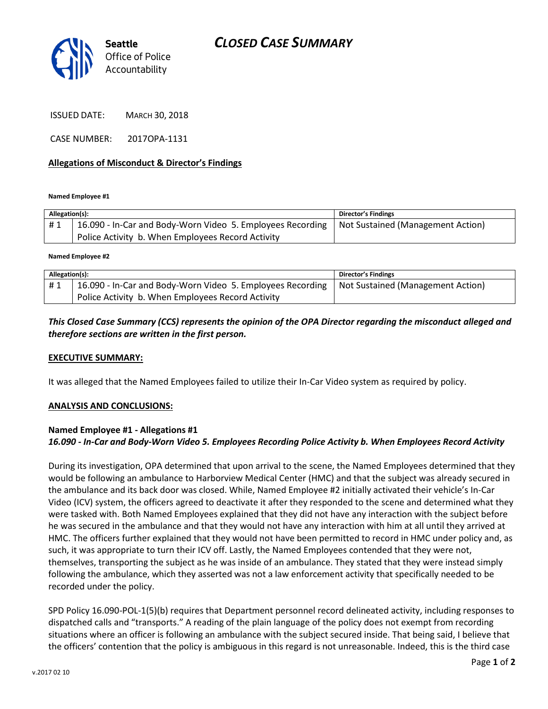# *CLOSED CASE SUMMARY*



ISSUED DATE: MARCH 30, 2018

CASE NUMBER: 2017OPA-1131

### **Allegations of Misconduct & Director's Findings**

**Named Employee #1**

| Allegation(s): |                                                                                                | <b>Director's Findings</b> |
|----------------|------------------------------------------------------------------------------------------------|----------------------------|
| #1             | 16.090 - In-Car and Body-Worn Video 5. Employees Recording   Not Sustained (Management Action) |                            |
|                | Police Activity b. When Employees Record Activity                                              |                            |

**Named Employee #2**

| Allegation(s): |                                                                                                | Director's Findings |
|----------------|------------------------------------------------------------------------------------------------|---------------------|
| #1             | 16.090 - In-Car and Body-Worn Video 5. Employees Recording   Not Sustained (Management Action) |                     |
|                | Police Activity b. When Employees Record Activity                                              |                     |

## *This Closed Case Summary (CCS) represents the opinion of the OPA Director regarding the misconduct alleged and therefore sections are written in the first person.*

#### **EXECUTIVE SUMMARY:**

It was alleged that the Named Employees failed to utilize their In-Car Video system as required by policy.

#### **ANALYSIS AND CONCLUSIONS:**

## **Named Employee #1 - Allegations #1** *16.090 - In-Car and Body-Worn Video 5. Employees Recording Police Activity b. When Employees Record Activity*

During its investigation, OPA determined that upon arrival to the scene, the Named Employees determined that they would be following an ambulance to Harborview Medical Center (HMC) and that the subject was already secured in the ambulance and its back door was closed. While, Named Employee #2 initially activated their vehicle's In-Car Video (ICV) system, the officers agreed to deactivate it after they responded to the scene and determined what they were tasked with. Both Named Employees explained that they did not have any interaction with the subject before he was secured in the ambulance and that they would not have any interaction with him at all until they arrived at HMC. The officers further explained that they would not have been permitted to record in HMC under policy and, as such, it was appropriate to turn their ICV off. Lastly, the Named Employees contended that they were not, themselves, transporting the subject as he was inside of an ambulance. They stated that they were instead simply following the ambulance, which they asserted was not a law enforcement activity that specifically needed to be recorded under the policy.

SPD Policy 16.090-POL-1(5)(b) requires that Department personnel record delineated activity, including responses to dispatched calls and "transports." A reading of the plain language of the policy does not exempt from recording situations where an officer is following an ambulance with the subject secured inside. That being said, I believe that the officers' contention that the policy is ambiguous in this regard is not unreasonable. Indeed, this is the third case